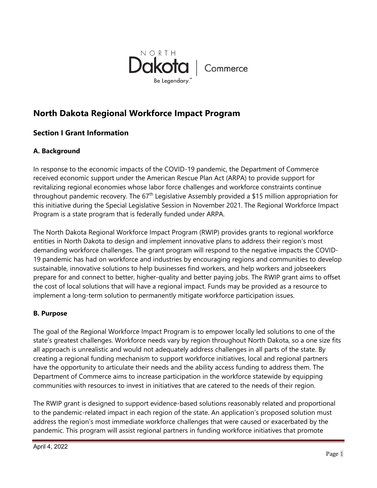

# **North Dakota Regional Workforce Impact Program**

## **Section I Grant Information**

## **A. Background**

In response to the economic impacts of the COVID-19 pandemic, the Department of Commerce received economic support under the American Rescue Plan Act (ARPA) to provide support for revitalizing regional economies whose labor force challenges and workforce constraints continue throughout pandemic recovery. The  $67<sup>th</sup>$  Legislative Assembly provided a \$15 million appropriation for this initiative during the Special Legislative Session in November 2021. The Regional Workforce Impact Program is a state program that is federally funded under ARPA.

The North Dakota Regional Workforce Impact Program (RWIP) provides grants to regional workforce entities in North Dakota to design and implement innovative plans to address their region's most demanding workforce challenges. The grant program will respond to the negative impacts the COVID-19 pandemic has had on workforce and industries by encouraging regions and communities to develop sustainable, innovative solutions to help businesses find workers, and help workers and jobseekers prepare for and connect to better, higher-quality and better paying jobs. The RWIP grant aims to offset the cost of local solutions that will have a regional impact. Funds may be provided as a resource to implement a long-term solution to permanently mitigate workforce participation issues.

## **B. Purpose**

The goal of the Regional Workforce Impact Program is to empower locally led solutions to one of the state's greatest challenges. Workforce needs vary by region throughout North Dakota, so a one size fits all approach is unrealistic and would not adequately address challenges in all parts of the state. By creating a regional funding mechanism to support workforce initiatives, local and regional partners have the opportunity to articulate their needs and the ability access funding to address them. The Department of Commerce aims to increase participation in the workforce statewide by equipping communities with resources to invest in initiatives that are catered to the needs of their region.

The RWIP grant is designed to support evidence-based solutions reasonably related and proportional to the pandemic-related impact in each region of the state. An application's proposed solution must address the region's most immediate workforce challenges that were caused or exacerbated by the pandemic. This program will assist regional partners in funding workforce initiatives that promote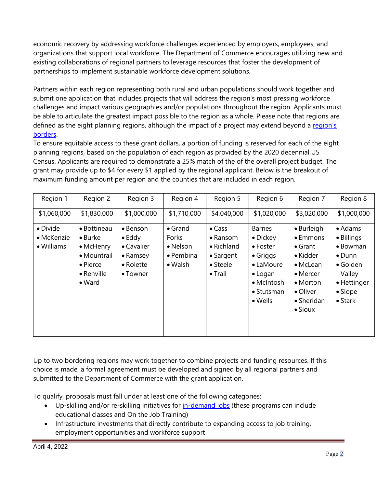economic recovery by addressing workforce challenges experienced by employers, employees, and organizations that support local workforce. The Department of Commerce encourages utilizing new and existing collaborations of regional partners to leverage resources that foster the development of partnerships to implement sustainable workforce development solutions.

Partners within each region representing both rural and urban populations should work together and submit one application that includes projects that will address the region's most pressing workforce challenges and impact various geographies and/or populations throughout the region. Applicants must be able to articulate the greatest impact possible to the region as a whole. Please note that regions are defined as the eight planning regions, although the impact of a project may extend beyond a region's [borders.](https://www.communityservices.nd.gov/communitydevelopment/Programs/CommunityDevelopmentBlockGrant/RegionalCouncils/) 

To ensure equitable access to these grant dollars, a portion of funding is reserved for each of the eight planning regions, based on the population of each region as provided by the 2020 decennial US Census. Applicants are required to demonstrate a 25% match of the of the overall project budget. The grant may provide up to \$4 for every \$1 applied by the regional applicant. Below is the breakout of maximum funding amount per region and the counties that are included in each region.

| Region 1                             | Region 2                                                                                                               | Region 3                                                                                                      | Region 4                                                                     | Region 5                                                                             | Region 6                                                                                                                                                 | Region 7                                                                                                                                                       | Region 8                                                                                                                                       |
|--------------------------------------|------------------------------------------------------------------------------------------------------------------------|---------------------------------------------------------------------------------------------------------------|------------------------------------------------------------------------------|--------------------------------------------------------------------------------------|----------------------------------------------------------------------------------------------------------------------------------------------------------|----------------------------------------------------------------------------------------------------------------------------------------------------------------|------------------------------------------------------------------------------------------------------------------------------------------------|
| \$1,060,000                          | \$1,830,000                                                                                                            | \$1,000,000                                                                                                   | \$1,710,000                                                                  | \$4,040,000                                                                          | \$1,020,000                                                                                                                                              | \$3,020,000                                                                                                                                                    | \$1,000,000                                                                                                                                    |
| • Divide<br>• McKenzie<br>• Williams | • Bottineau<br>$\bullet$ Burke<br>• McHenry<br>• Mountrail<br>$\bullet$ Pierce<br>$\bullet$ Renville<br>$\bullet$ Ward | $\bullet$ Benson<br>$\bullet$ Eddy<br>• Cavalier<br>$\bullet$ Ramsey<br>$\bullet$ Rolette<br>$\bullet$ Towner | $\bullet$ Grand<br>Forks<br>• Nelson<br>$\bullet$ Pembina<br>$\bullet$ Walsh | $\bullet$ Cass<br>• Ransom<br>• Richland<br>• Sargent<br>• Steele<br>$\bullet$ Trail | <b>Barnes</b><br>$\bullet$ Dickey<br>$\bullet$ Foster<br>$\bullet$ Griggs<br>• LaMoure<br>$\bullet$ Logan<br>• McIntosh<br>• Stutsman<br>$\bullet$ Wells | • Burleigh<br>• Emmons<br>$\bullet$ Grant<br>$\bullet$ Kidder<br>• McLean<br>$\bullet$ Mercer<br>$\bullet$ Morton<br>• Oliver<br>• Sheridan<br>$\bullet$ Sioux | $\bullet$ Adams<br>• Billings<br>• Bowman<br>$\bullet$ Dunn<br>$\bullet$ Golden<br>Valley<br>• Hettinger<br>$\bullet$ Slope<br>$\bullet$ Stark |

Up to two bordering regions may work together to combine projects and funding resources. If this choice is made, a formal agreement must be developed and signed by all regional partners and submitted to the Department of Commerce with the grant application.

To qualify, proposals must fall under at least one of the following categories:

- Up-skilling and/or re-skilling initiatives for [in-demand jobs](https://www.workforce.nd.gov/uploads/22/InDemandOccupationsList.pdf) (these programs can include educational classes and On the Job Training)
- Infrastructure investments that directly contribute to expanding access to job training, employment opportunities and workforce support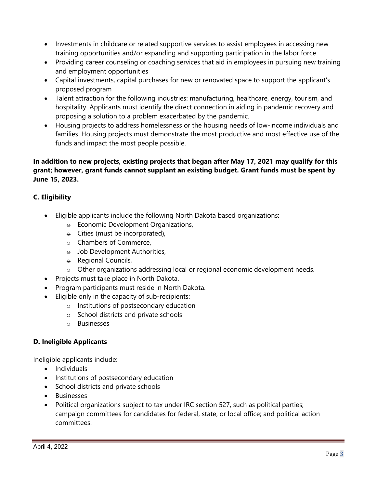- Investments in childcare or related supportive services to assist employees in accessing new training opportunities and/or expanding and supporting participation in the labor force
- Providing career counseling or coaching services that aid in employees in pursuing new training and employment opportunities
- Capital investments, capital purchases for new or renovated space to support the applicant's proposed program
- Talent attraction for the following industries: manufacturing, healthcare, energy, tourism, and hospitality. Applicants must identify the direct connection in aiding in pandemic recovery and proposing a solution to a problem exacerbated by the pandemic.
- Housing projects to address homelessness or the housing needs of low-income individuals and families. Housing projects must demonstrate the most productive and most effective use of the funds and impact the most people possible.

## **In addition to new projects, existing projects that began after May 17, 2021 may qualify for this grant; however, grant funds cannot supplant an existing budget. Grant funds must be spent by June 15, 2023.**

## **C. Eligibility**

- Eligible applicants include the following North Dakota based organizations:
	- $\theta$  Economic Development Organizations,
	- $\theta$  Cities (must be incorporated),
	- $\theta$  Chambers of Commerce,
	- $\theta$  Job Development Authorities,
	- $\theta$  Regional Councils,
	- $\theta$  Other organizations addressing local or regional economic development needs.
- Projects must take place in North Dakota.
- Program participants must reside in North Dakota.
- Eligible only in the capacity of sub-recipients:
	- o Institutions of postsecondary education
	- o School districts and private schools
	- o Businesses

## **D. Ineligible Applicants**

Ineligible applicants include:

- Individuals
- Institutions of postsecondary education
- School districts and private schools
- Businesses
- Political organizations subject to tax under IRC section 527, such as political parties; campaign committees for candidates for federal, state, or local office; and political action committees.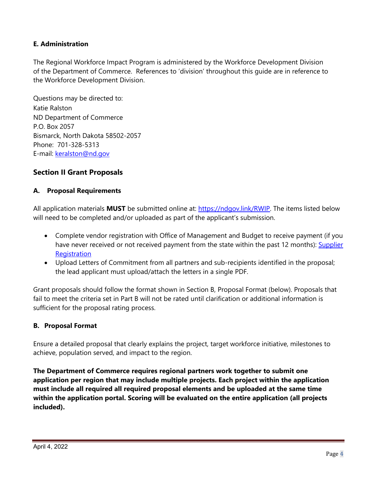## **E. Administration**

The Regional Workforce Impact Program is administered by the Workforce Development Division of the Department of Commerce. References to 'division' throughout this guide are in reference to the Workforce Development Division.

Questions may be directed to: Katie Ralston ND Department of Commerce P.O. Box 2057 Bismarck, North Dakota 58502-2057 Phone: 701-328-5313 E-mail: [keralston@nd.gov](mailto:keralston@nd.gov)

## **Section II Grant Proposals**

## **A. Proposal Requirements**

All application materials **MUST** be submitted online at: [https://ndgov.link/RWIP.](https://gcc02.safelinks.protection.outlook.com/?url=https%3A%2F%2Fndgov.link%2FRWIP&data=04%7C01%7Ckeralston%40nd.gov%7C7e1b60fc735d4b8d882008da0b79f16b%7C2dea0464da514a88bae2b3db94bc0c54%7C0%7C0%7C637834915609160377%7CUnknown%7CTWFpbGZsb3d8eyJWIjoiMC4wLjAwMDAiLCJQIjoiV2luMzIiLCJBTiI6Ik1haWwiLCJXVCI6Mn0%3D%7C3000&sdata=c6uBLtt3AXug7VB62%2BQ8FkJa18tN0SgXrDr8FzWy%2FSk%3D&reserved=0) The items listed below will need to be completed and/or uploaded as part of the applicant's submission.

- Complete vendor registration with Office of Management and Budget to receive payment (if you have never received or not received payment from the state within the past 12 months): [Supplier](https://www.cnd.nd.gov/psp/supplier_1/SUPPLIER/ERP/c/SUP_OB_MENU.AUC_BIDDER_REGISTR.GBL?Action=U&SUP_OB_TEMPLATE_ID=SUPPLIER)  **Registration**
- Upload Letters of Commitment from all partners and sub-recipients identified in the proposal; the lead applicant must upload/attach the letters in a single PDF.

Grant proposals should follow the format shown in Section B, Proposal Format (below). Proposals that fail to meet the criteria set in Part B will not be rated until clarification or additional information is sufficient for the proposal rating process.

## **B. Proposal Format**

Ensure a detailed proposal that clearly explains the project, target workforce initiative, milestones to achieve, population served, and impact to the region.

**The Department of Commerce requires regional partners work together to submit one application per region that may include multiple projects. Each project within the application must include all required all required proposal elements and be uploaded at the same time within the application portal. Scoring will be evaluated on the entire application (all projects included).**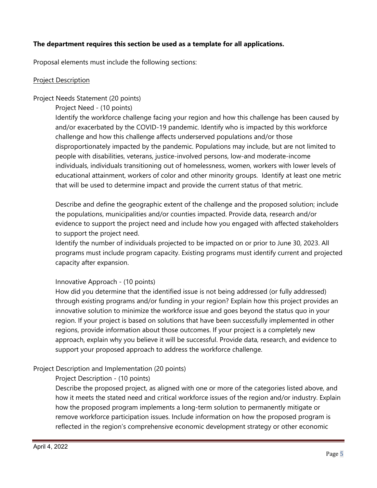## **The department requires this section be used as a template for all applications.**

Proposal elements must include the following sections:

#### Project Description

#### Project Needs Statement (20 points)

Project Need - (10 points)

Identify the workforce challenge facing your region and how this challenge has been caused by and/or exacerbated by the COVID-19 pandemic. Identify who is impacted by this workforce challenge and how this challenge affects underserved populations and/or those disproportionately impacted by the pandemic. Populations may include, but are not limited to people with disabilities, veterans, justice-involved persons, low-and moderate-income individuals, individuals transitioning out of homelessness, women, workers with lower levels of educational attainment, workers of color and other minority groups. Identify at least one metric that will be used to determine impact and provide the current status of that metric.

Describe and define the geographic extent of the challenge and the proposed solution; include the populations, municipalities and/or counties impacted. Provide data, research and/or evidence to support the project need and include how you engaged with affected stakeholders to support the project need.

Identify the number of individuals projected to be impacted on or prior to June 30, 2023. All programs must include program capacity. Existing programs must identify current and projected capacity after expansion.

## Innovative Approach - (10 points)

How did you determine that the identified issue is not being addressed (or fully addressed) through existing programs and/or funding in your region? Explain how this project provides an innovative solution to minimize the workforce issue and goes beyond the status quo in your region. If your project is based on solutions that have been successfully implemented in other regions, provide information about those outcomes. If your project is a completely new approach, explain why you believe it will be successful. Provide data, research, and evidence to support your proposed approach to address the workforce challenge.

## Project Description and Implementation (20 points)

Project Description - (10 points)

Describe the proposed project, as aligned with one or more of the categories listed above, and how it meets the stated need and critical workforce issues of the region and/or industry. Explain how the proposed program implements a long-term solution to permanently mitigate or remove workforce participation issues. Include information on how the proposed program is reflected in the region's comprehensive economic development strategy or other economic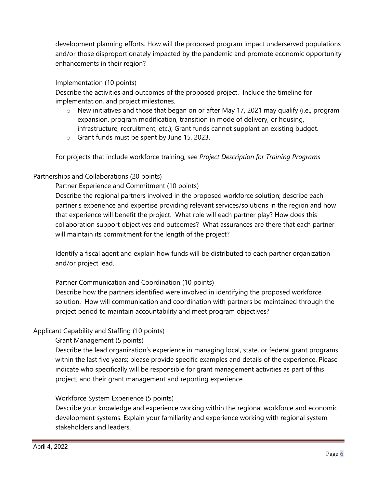development planning efforts. How will the proposed program impact underserved populations and/or those disproportionately impacted by the pandemic and promote economic opportunity enhancements in their region?

## Implementation (10 points)

Describe the activities and outcomes of the proposed project. Include the timeline for implementation, and project milestones.

- o New initiatives and those that began on or after May 17, 2021 may qualify (i.e., program expansion, program modification, transition in mode of delivery, or housing, infrastructure, recruitment, etc.); Grant funds cannot supplant an existing budget.
- o Grant funds must be spent by June 15, 2023.

For projects that include workforce training, see *Project Description for Training Programs*

## Partnerships and Collaborations (20 points)

Partner Experience and Commitment (10 points)

Describe the regional partners involved in the proposed workforce solution; describe each partner's experience and expertise providing relevant services/solutions in the region and how that experience will benefit the project. What role will each partner play? How does this collaboration support objectives and outcomes? What assurances are there that each partner will maintain its commitment for the length of the project?

Identify a fiscal agent and explain how funds will be distributed to each partner organization and/or project lead.

## Partner Communication and Coordination (10 points)

Describe how the partners identified were involved in identifying the proposed workforce solution. How will communication and coordination with partners be maintained through the project period to maintain accountability and meet program objectives?

## Applicant Capability and Staffing (10 points)

Grant Management (5 points)

Describe the lead organization's experience in managing local, state, or federal grant programs within the last five years; please provide specific examples and details of the experience. Please indicate who specifically will be responsible for grant management activities as part of this project, and their grant management and reporting experience.

## Workforce System Experience (5 points)

Describe your knowledge and experience working within the regional workforce and economic development systems. Explain your familiarity and experience working with regional system stakeholders and leaders.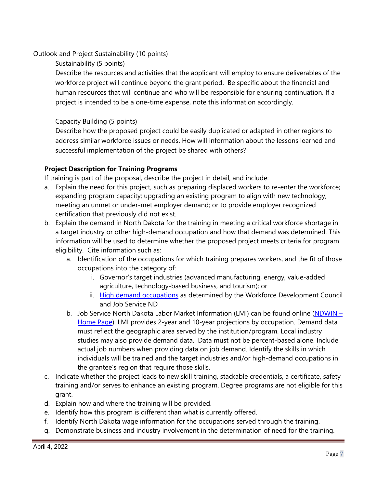Outlook and Project Sustainability (10 points)

Sustainability (5 points)

Describe the resources and activities that the applicant will employ to ensure deliverables of the workforce project will continue beyond the grant period. Be specific about the financial and human resources that will continue and who will be responsible for ensuring continuation. If a project is intended to be a one-time expense, note this information accordingly.

## Capacity Building (5 points)

Describe how the proposed project could be easily duplicated or adapted in other regions to address similar workforce issues or needs. How will information about the lessons learned and successful implementation of the project be shared with others?

## **Project Description for Training Programs**

If training is part of the proposal, describe the project in detail, and include:

- a. Explain the need for this project, such as preparing displaced workers to re-enter the workforce; expanding program capacity; upgrading an existing program to align with new technology; meeting an unmet or under-met employer demand; or to provide employer recognized certification that previously did not exist.
- b. Explain the demand in North Dakota for the training in meeting a critical workforce shortage in a target industry or other high-demand occupation and how that demand was determined. This information will be used to determine whether the proposed project meets criteria for program eligibility. Cite information such as:
	- a. Identification of the occupations for which training prepares workers, and the fit of those occupations into the category of:
		- i. Governor's target industries (advanced manufacturing, energy, value-added agriculture, technology-based business, and tourism); or
		- ii. [High demand occupations](https://workforce.nd.gov/uploads/22/InDemandOccupationsList.pdf) as determined by the Workforce Development Council and Job Service ND
	- b. Job Service North Dakota Labor Market Information (LMI) can be found online [\(NDWIN](http://www.ndworkforceintelligence.com/)  [Home Page\)](http://www.ndworkforceintelligence.com/). LMI provides 2-year and 10-year projections by occupation. Demand data must reflect the geographic area served by the institution/program. Local industry studies may also provide demand data. Data must not be percent-based alone. Include actual job numbers when providing data on job demand. Identify the skills in which individuals will be trained and the target industries and/or high-demand occupations in the grantee's region that require those skills.
- c. Indicate whether the project leads to new skill training, stackable credentials, a certificate, safety training and/or serves to enhance an existing program. Degree programs are not eligible for this grant.
- d. Explain how and where the training will be provided.
- e. Identify how this program is different than what is currently offered.
- f. Identify North Dakota wage information for the occupations served through the training.
- g. Demonstrate business and industry involvement in the determination of need for the training.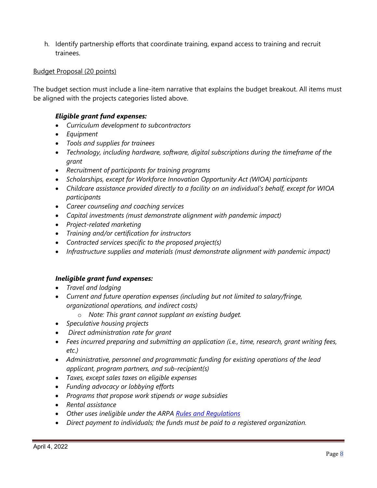h. Identify partnership efforts that coordinate training, expand access to training and recruit trainees.

#### Budget Proposal (20 points)

The budget section must include a line-item narrative that explains the budget breakout. All items must be aligned with the projects categories listed above.

#### *Eligible grant fund expenses:*

- *Curriculum development to subcontractors*
- *Equipment*
- *Tools and supplies for trainees*
- *Technology, including hardware, software, digital subscriptions during the timeframe of the grant*
- *Recruitment of participants for training programs*
- *Scholarships, except for Workforce Innovation Opportunity Act (WIOA) participants*
- *Childcare assistance provided directly to a facility on an individual's behalf, except for WIOA participants*
- *Career counseling and coaching services*
- *Capital investments (must demonstrate alignment with pandemic impact)*
- *Project-related marketing*
- *Training and/or certification for instructors*
- *Contracted services specific to the proposed project(s)*
- *Infrastructure supplies and materials (must demonstrate alignment with pandemic impact)*

#### *Ineligible grant fund expenses:*

- *Travel and lodging*
- *Current and future operation expenses (including but not limited to salary/fringe, organizational operations, and indirect costs)*
	- o *Note: This grant cannot supplant an existing budget.*
- *Speculative housing projects*
- • *Direct administration rate for grant*
- *Fees incurred preparing and submitting an application (i.e., time, research, grant writing fees, etc.)*
- *Administrative, personnel and programmatic funding for existing operations of the lead applicant, program partners, and sub-recipient(s)*
- *Taxes, except sales taxes on eligible expenses*
- *Funding advocacy or lobbying efforts*
- *Programs that propose work stipends or wage subsidies*
- *Rental assistance*
- *Other uses ineligible under the ARPA [Rules and Regulations](https://www.govinfo.gov/content/pkg/FR-2021-05-17/pdf/2021-10283.pdf)*
- *Direct payment to individuals; the funds must be paid to a registered organization.*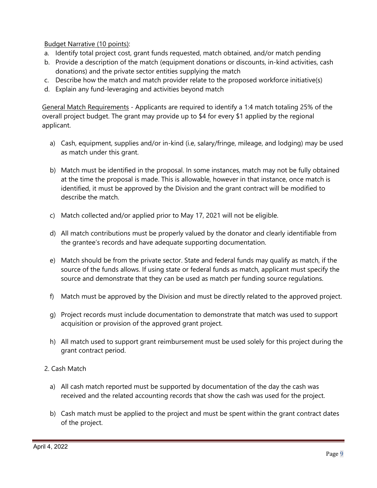Budget Narrative (10 points):

- a. Identify total project cost, grant funds requested, match obtained, and/or match pending
- b. Provide a description of the match (equipment donations or discounts, in-kind activities, cash donations) and the private sector entities supplying the match
- c. Describe how the match and match provider relate to the proposed workforce initiative(s)
- d. Explain any fund-leveraging and activities beyond match

General Match Requirements - Applicants are required to identify a 1:4 match totaling 25% of the overall project budget. The grant may provide up to \$4 for every \$1 applied by the regional applicant.

- a) Cash, equipment, supplies and/or in-kind (i.e, salary/fringe, mileage, and lodging) may be used as match under this grant.
- b) Match must be identified in the proposal. In some instances, match may not be fully obtained at the time the proposal is made. This is allowable, however in that instance, once match is identified, it must be approved by the Division and the grant contract will be modified to describe the match.
- c) Match collected and/or applied prior to May 17, 2021 will not be eligible.
- d) All match contributions must be properly valued by the donator and clearly identifiable from the grantee's records and have adequate supporting documentation.
- e) Match should be from the private sector. State and federal funds may qualify as match, if the source of the funds allows. If using state or federal funds as match, applicant must specify the source and demonstrate that they can be used as match per funding source regulations.
- f) Match must be approved by the Division and must be directly related to the approved project.
- g) Project records must include documentation to demonstrate that match was used to support acquisition or provision of the approved grant project.
- h) All match used to support grant reimbursement must be used solely for this project during the grant contract period.
- 2. Cash Match
	- a) All cash match reported must be supported by documentation of the day the cash was received and the related accounting records that show the cash was used for the project.
	- b) Cash match must be applied to the project and must be spent within the grant contract dates of the project.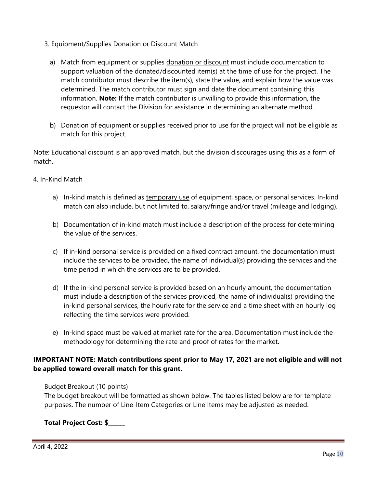- 3. Equipment/Supplies Donation or Discount Match
	- a) Match from equipment or supplies donation or discount must include documentation to support valuation of the donated/discounted item(s) at the time of use for the project. The match contributor must describe the item(s), state the value, and explain how the value was determined. The match contributor must sign and date the document containing this information. **Note:** If the match contributor is unwilling to provide this information, the requestor will contact the Division for assistance in determining an alternate method.
	- b) Donation of equipment or supplies received prior to use for the project will not be eligible as match for this project.

Note: Educational discount is an approved match, but the division discourages using this as a form of match.

#### 4. In-Kind Match

- a) In-kind match is defined as temporary use of equipment, space, or personal services. In-kind match can also include, but not limited to, salary/fringe and/or travel (mileage and lodging).
- b) Documentation of in-kind match must include a description of the process for determining the value of the services.
- c) If in-kind personal service is provided on a fixed contract amount, the documentation must include the services to be provided, the name of individual(s) providing the services and the time period in which the services are to be provided.
- d) If the in-kind personal service is provided based on an hourly amount, the documentation must include a description of the services provided, the name of individual(s) providing the in-kind personal services, the hourly rate for the service and a time sheet with an hourly log reflecting the time services were provided.
- e) In-kind space must be valued at market rate for the area. Documentation must include the methodology for determining the rate and proof of rates for the market.

## **IMPORTANT NOTE: Match contributions spent prior to May 17, 2021 are not eligible and will not be applied toward overall match for this grant.**

Budget Breakout (10 points)

The budget breakout will be formatted as shown below. The tables listed below are for template purposes. The number of Line-Item Categories or Line Items may be adjusted as needed.

## **Total Project Cost: \$\_\_\_\_\_\_**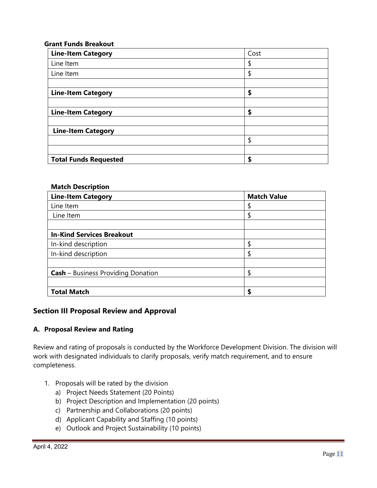#### **Grant Funds Breakout**

| <b>Line-Item Category</b>    | Cost |
|------------------------------|------|
| Line Item                    | \$   |
| Line Item                    | \$   |
|                              |      |
| <b>Line-Item Category</b>    | \$   |
|                              |      |
| <b>Line-Item Category</b>    | \$   |
|                              |      |
| <b>Line-Item Category</b>    |      |
|                              | \$   |
|                              |      |
| <b>Total Funds Requested</b> | \$   |

#### **Match Description**

| <b>Line-Item Category</b>                 | <b>Match Value</b> |
|-------------------------------------------|--------------------|
| Line Item                                 |                    |
| Line Item                                 |                    |
|                                           |                    |
| <b>In-Kind Services Breakout</b>          |                    |
| In-kind description                       |                    |
| In-kind description                       |                    |
|                                           |                    |
| <b>Cash</b> – Business Providing Donation |                    |
|                                           |                    |
| <b>Total Match</b>                        | S                  |

#### **Section III Proposal Review and Approval**

#### **A. Proposal Review and Rating**

Review and rating of proposals is conducted by the Workforce Development Division. The division will work with designated individuals to clarify proposals, verify match requirement, and to ensure completeness.

- 1. Proposals will be rated by the division
	- a) Project Needs Statement (20 Points)
	- b) Project Description and Implementation (20 points)
	- c) Partnership and Collaborations (20 points)
	- d) Applicant Capability and Staffing (10 points)
	- e) Outlook and Project Sustainability (10 points)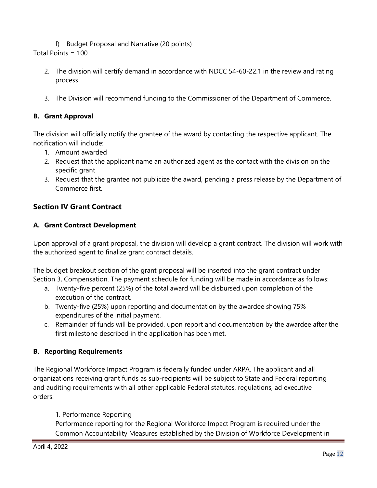f) Budget Proposal and Narrative (20 points)

Total Points = 100

- 2. The division will certify demand in accordance with NDCC 54-60-22.1 in the review and rating process.
- 3. The Division will recommend funding to the Commissioner of the Department of Commerce.

## **B. Grant Approval**

The division will officially notify the grantee of the award by contacting the respective applicant. The notification will include:

- 1. Amount awarded
- 2. Request that the applicant name an authorized agent as the contact with the division on the specific grant
- 3. Request that the grantee not publicize the award, pending a press release by the Department of Commerce first.

## **Section IV Grant Contract**

## **A. Grant Contract Development**

Upon approval of a grant proposal, the division will develop a grant contract. The division will work with the authorized agent to finalize grant contract details.

The budget breakout section of the grant proposal will be inserted into the grant contract under Section 3, Compensation. The payment schedule for funding will be made in accordance as follows:

- a. Twenty-five percent (25%) of the total award will be disbursed upon completion of the execution of the contract.
- b. Twenty-five (25%) upon reporting and documentation by the awardee showing 75% expenditures of the initial payment.
- c. Remainder of funds will be provided, upon report and documentation by the awardee after the first milestone described in the application has been met.

## **B. Reporting Requirements**

The Regional Workforce Impact Program is federally funded under ARPA. The applicant and all organizations receiving grant funds as sub-recipients will be subject to State and Federal reporting and auditing requirements with all other applicable Federal statutes, regulations, ad executive orders.

## 1. Performance Reporting

Performance reporting for the Regional Workforce Impact Program is required under the Common Accountability Measures established by the Division of Workforce Development in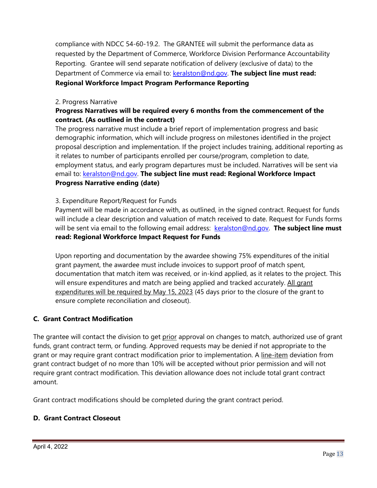compliance with NDCC 54-60-19.2. The GRANTEE will submit the performance data as requested by the Department of Commerce, Workforce Division Performance Accountability Reporting. Grantee will send separate notification of delivery (exclusive of data) to the Department of Commerce via email to: **keralston@nd.gov. The subject line must read: Regional Workforce Impact Program Performance Reporting**

## 2. Progress Narrative

## **Progress Narratives will be required every 6 months from the commencement of the contract. (As outlined in the contract)**

The progress narrative must include a brief report of implementation progress and basic demographic information, which will include progress on milestones identified in the project proposal description and implementation. If the project includes training, additional reporting as it relates to number of participants enrolled per course/program, completion to date, employment status, and early program departures must be included. Narratives will be sent via email to: [keralston@nd.gov.](mailto:keralston@nd.gov) **The subject line must read: Regional Workforce Impact Progress Narrative ending (date)**

## 3. Expenditure Report/Request for Funds

Payment will be made in accordance with, as outlined, in the signed contract. Request for funds will include a clear description and valuation of match received to date. Request for Funds forms will be sent via email to the following email address: [keralston@nd.gov.](mailto:keralston@nd.gov) The subject line must **read: Regional Workforce Impact Request for Funds**

Upon reporting and documentation by the awardee showing 75% expenditures of the initial grant payment, the awardee must include invoices to support proof of match spent, documentation that match item was received, or in-kind applied, as it relates to the project. This will ensure expenditures and match are being applied and tracked accurately. All grant expenditures will be required by May 15, 2023 (45 days prior to the closure of the grant to ensure complete reconciliation and closeout).

## **C. Grant Contract Modification**

The grantee will contact the division to get prior approval on changes to match, authorized use of grant funds, grant contract term, or funding. Approved requests may be denied if not appropriate to the grant or may require grant contract modification prior to implementation. A line-item deviation from grant contract budget of no more than 10% will be accepted without prior permission and will not require grant contract modification. This deviation allowance does not include total grant contract amount.

Grant contract modifications should be completed during the grant contract period.

## **D. Grant Contract Closeout**